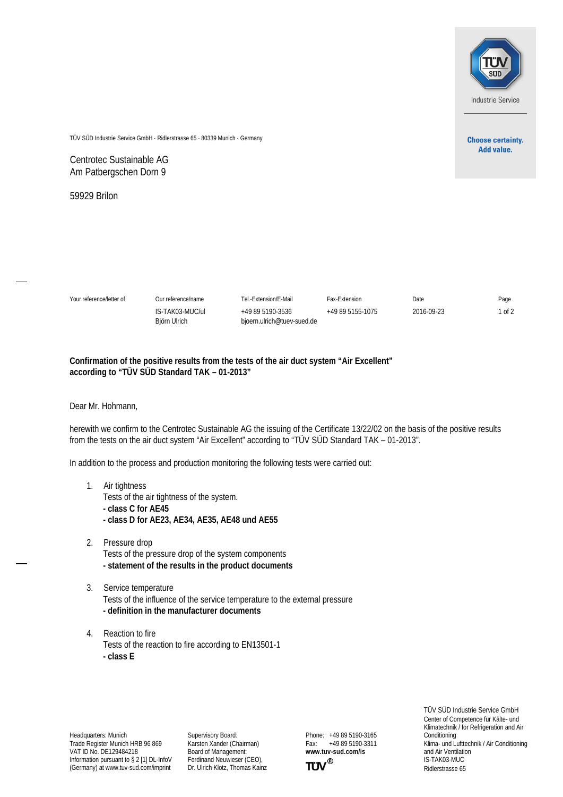

**Choose certainty. Add value.** 

TÜV SÜD Industrie Service GmbH · Ridlerstrasse 65 · 80339 Munich · Germany

Centrotec Sustainable AG Am Patbergschen Dorn 9

59929 Brilon

| Your reference/letter of | Our reference/name              | Tel.-Extension/E-Mail                          | Fax-Extension    | Date       | Page   |
|--------------------------|---------------------------------|------------------------------------------------|------------------|------------|--------|
|                          | IS-TAK03-MUC/uL<br>Biörn Ulrich | +49 89 5190-3536<br>bioern.ulrich@tuev-sued.de | +49 89 5155-1075 | 2016-09-23 | of $2$ |

## **Confirmation of the positive results from the tests of the air duct system "Air Excellent" according to "TÜV SÜD Standard TAK – 01-2013"**

Dear Mr. Hohmann,

herewith we confirm to the Centrotec Sustainable AG the issuing of the Certificate 13/22/02 on the basis of the positive results from the tests on the air duct system "Air Excellent" according to "TÜV SÜD Standard TAK – 01-2013".

In addition to the process and production monitoring the following tests were carried out:

- 1. Air tightness Tests of the air tightness of the system. **- class C for AE45 - class D for AE23, AE34, AE35, AE48 und AE55**
- 2. Pressure drop Tests of the pressure drop of the system components **- statement of the results in the product documents**
- 3. Service temperature Tests of the influence of the service temperature to the external pressure **- definition in the manufacturer documents**
- 4. Reaction to fire Tests of the reaction to fire according to EN13501-1 **- class E**

Headquarters: Munich Trade Register Munich HRB 96 869 VAT ID No. DE129484218 Information pursuant to § 2 [1] DL-InfoV (Germany) at www.tuv-sud.com/imprint

Supervisory Board: Karsten Xander (Chairman) Board of Management: Ferdinand Neuwieser (CEO), Dr. Ulrich Klotz, Thomas Kainz Phone: +49 89 5190-3165<br>Fax: +49 89 5190-3311 Fax: +49 89 5190-3311 **www.tuv-sud.com/is**



TÜV SÜD Industrie Service GmbH Center of Competence für Kälte- und Klimatechnik / for Refrigeration and Air Conditioning Klima- und Lufttechnik / Air Conditioning and Air Ventilation IS-TAK03-MUC Ridlerstrasse 65